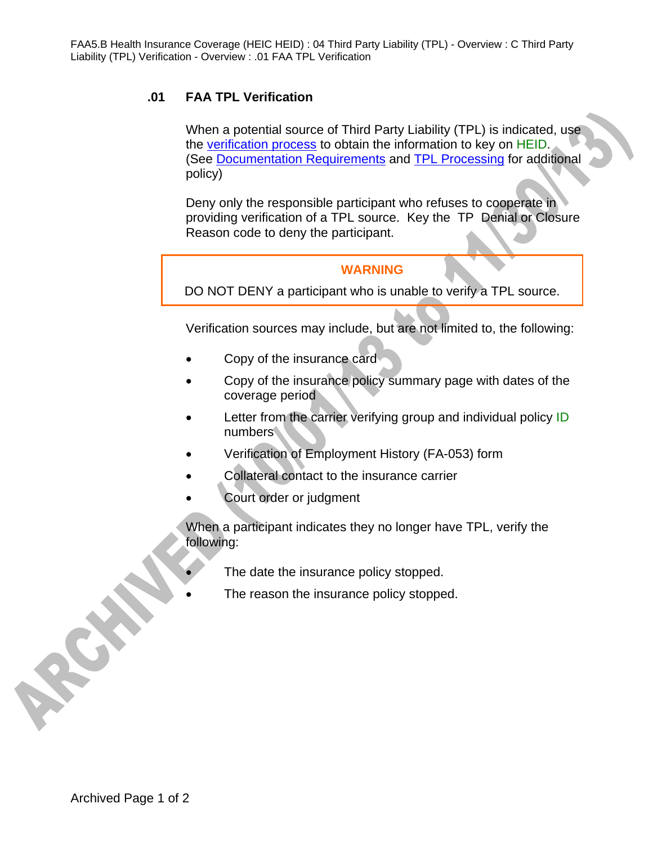## **.01 FAA TPL Verification**

When a potential source of Third Party Liability (TPL) is indicated, use the verification process to obtain the information to key on HEID. (See Documentation Requirements and TPL Processing for additional policy)

Deny only the responsible participant who refuses to cooperate in providing verification of a TPL source. Key the TP Denial or Closure Reason code to deny the participant.

## **WARNING**

DO NOT DENY a participant who is unable to verify a TPL source.

Verification sources may include, but are not limited to, the following:

- Copy of the insurance card
- Copy of the insurance policy summary page with dates of the coverage period
- Letter from the carrier verifying group and individual policy ID numbers
- Verification of Employment History (FA-053) form
- Collateral contact to the insurance carrier
- Court order or judgment

When a participant indicates they no longer have TPL, verify the following:

- The date the insurance policy stopped.
- The reason the insurance policy stopped.